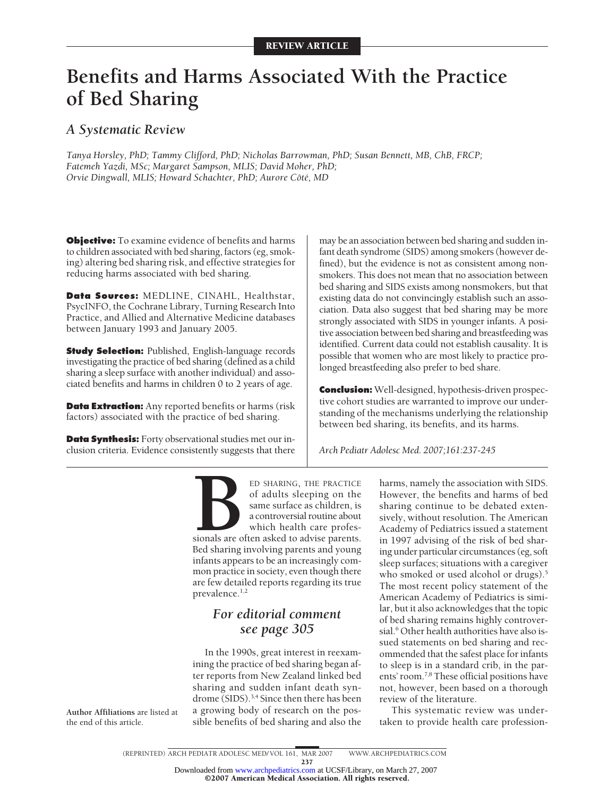# **Benefits and Harms Associated With the Practice of Bed Sharing**

## *A Systematic Review*

*Tanya Horsley, PhD; Tammy Clifford, PhD; Nicholas Barrowman, PhD; Susan Bennett, MB, ChB, FRCP; Fatemeh Yazdi, MSc; Margaret Sampson, MLIS; David Moher, PhD;* Orvie Dingwall, MLIS; Howard Schachter, PhD; Aurore Côté, MD

**Objective:** To examine evidence of benefits and harms to children associated with bed sharing, factors (eg, smoking) altering bed sharing risk, and effective strategies for reducing harms associated with bed sharing.

**Data Sources:** MEDLINE, CINAHL, Healthstar, PsycINFO, the Cochrane Library, Turning Research Into Practice, and Allied and Alternative Medicine databases between January 1993 and January 2005.

**Study Selection:** Published, English-language records investigating the practice of bed sharing (defined as a child sharing a sleep surface with another individual) and associated benefits and harms in children 0 to 2 years of age.

**Data Extraction:** Any reported benefits or harms (risk factors) associated with the practice of bed sharing.

**Data Synthesis:** Forty observational studies met our inclusion criteria. Evidence consistently suggests that there may be an association between bed sharing and sudden infant death syndrome (SIDS) among smokers (however defined), but the evidence is not as consistent among nonsmokers. This does not mean that no association between bed sharing and SIDS exists among nonsmokers, but that existing data do not convincingly establish such an association. Data also suggest that bed sharing may be more strongly associated with SIDS in younger infants. A positive association between bed sharing and breastfeeding was identified. Current data could not establish causality. It is possible that women who are most likely to practice prolonged breastfeeding also prefer to bed share.

**Conclusion:** Well-designed, hypothesis-driven prospective cohort studies are warranted to improve our understanding of the mechanisms underlying the relationship between bed sharing, its benefits, and its harms.

*Arch Pediatr Adolesc Med. 2007;161:237-245*

ED SHARING, THE PRACTICE of adults sleeping on the same surface as children, is a controversial routine about which health care professionals are often asked to advise parents.<br>Bed sharing involving parents and young of adults sleeping on the same surface as children, is a controversial routine about which health care professionals are often asked to advise parents. infants appears to be an increasingly common practice in society, even though there are few detailed reports regarding its true prevalence.1,2

# *For editorial comment see page 305*

In the 1990s, great interest in reexamining the practice of bed sharing began after reports from New Zealand linked bed sharing and sudden infant death syndrome (SIDS).<sup>3,4</sup> Since then there has been a growing body of research on the possible benefits of bed sharing and also the

harms, namely the association with SIDS. However, the benefits and harms of bed sharing continue to be debated extensively, without resolution. The American Academy of Pediatrics issued a statement in 1997 advising of the risk of bed sharing under particular circumstances (eg, soft sleep surfaces; situations with a caregiver who smoked or used alcohol or drugs).<sup>5</sup> The most recent policy statement of the American Academy of Pediatrics is similar, but it also acknowledges that the topic of bed sharing remains highly controversial.<sup>6</sup> Other health authorities have also issued statements on bed sharing and recommended that the safest place for infants to sleep is in a standard crib, in the parents' room.7,8 These official positions have not, however, been based on a thorough review of the literature.

This systematic review was undertaken to provide health care profession-

**Author Affiliations** are listed at the end of this article.

237

©2007 American Medical Association. All rights reserved. Downloaded from [www.archpediatrics.com](http://www.archpediatrics.com) at UCSF/Library, on March 27, 2007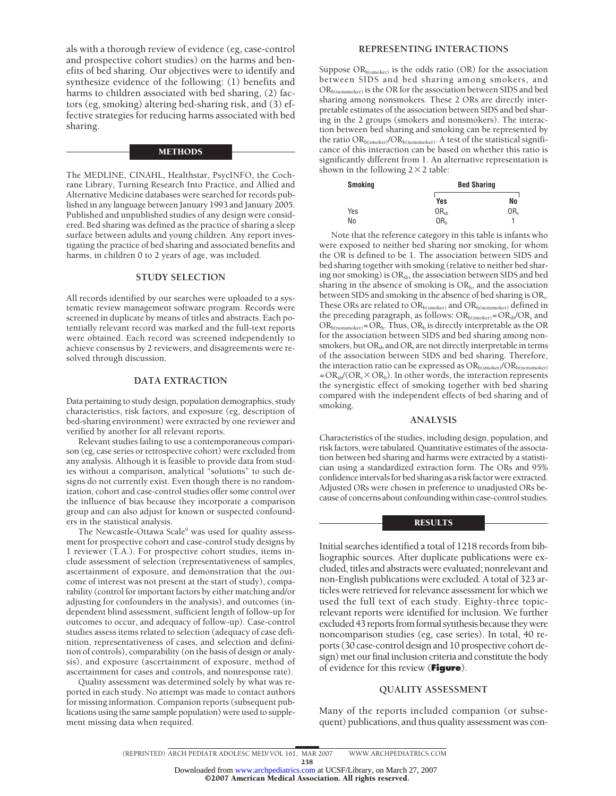als with a thorough review of evidence (eg, case-control and prospective cohort studies) on the harms and benefits of bed sharing. Our objectives were to identify and synthesize evidence of the following: (1) benefits and harms to children associated with bed sharing, (2) factors (eg, smoking) altering bed-sharing risk, and (3) effective strategies for reducing harms associated with bed sharing.

## **METHODS**

The MEDLINE, CINAHL, Healthstar, PsycINFO, the Cochrane Library, Turning Research Into Practice, and Allied and Alternative Medicine databases were searched for records published in any language between January 1993 and January 2005. Published and unpublished studies of any design were considered. Bed sharing was defined as the practice of sharing a sleep surface between adults and young children. Any report investigating the practice of bed sharing and associated benefits and harms, in children 0 to 2 years of age, was included.

## **STUDY SELECTION**

All records identified by our searches were uploaded to a systematic review management software program. Records were screened in duplicate by means of titles and abstracts. Each potentially relevant record was marked and the full-text reports were obtained. Each record was screened independently to achieve consensus by 2 reviewers, and disagreements were resolved through discussion.

## **DATA EXTRACTION**

Data pertaining to study design, population demographics, study characteristics, risk factors, and exposure (eg, description of bed-sharing environment) were extracted by one reviewer and verified by another for all relevant reports.

Relevant studies failing to use a contemporaneous comparison (eg, case series or retrospective cohort) were excluded from any analysis. Although it is feasible to provide data from studies without a comparison, analytical "solutions" to such designs do not currently exist. Even though there is no randomization, cohort and case-control studies offer some control over the influence of bias because they incorporate a comparison group and can also adjust for known or suspected confounders in the statistical analysis.

The Newcastle-Ottawa Scale<sup>9</sup> was used for quality assessment for prospective cohort and case-control study designs by 1 reviewer (T.A.). For prospective cohort studies, items include assessment of selection (representativeness of samples, ascertainment of exposure, and demonstration that the outcome of interest was not present at the start of study), comparability (control for important factors by either matching and/or adjusting for confounders in the analysis), and outcomes (independent blind assessment, sufficient length of follow-up for outcomes to occur, and adequacy of follow-up). Case-control studies assess items related to selection (adequacy of case definition, representativeness of cases, and selection and definition of controls), comparability (on the basis of design or analysis), and exposure (ascertainment of exposure, method of ascertainment for cases and controls, and nonresponse rate).

Quality assessment was determined solely by what was reported in each study. No attempt was made to contact authors for missing information. Companion reports (subsequent publications using the same sample population) were used to supplement missing data when required.

## **REPRESENTING INTERACTIONS**

Suppose  $\text{OR}_{\text{b}(\text{smoker})}$  is the odds ratio (OR) for the association between SIDS and bed sharing among smokers, and ORb(nonsmoker) is the OR for the association between SIDS and bed sharing among nonsmokers. These 2 ORs are directly interpretable estimates of the association between SIDS and bed sharing in the 2 groups (smokers and nonsmokers). The interaction between bed sharing and smoking can be represented by the ratio  $OR_{b(smoker)}/OR_{b(nonsmoker)}$ . A test of the statistical significance of this interaction can be based on whether this ratio is significantly different from 1. An alternative representation is shown in the following  $2 \times 2$  table:

| Smoking | <b>Bed Sharing</b> |        |  |
|---------|--------------------|--------|--|
|         | Yes                | No     |  |
| Yes     | $OR_{sh}$          | $OR_s$ |  |
| No      | OR <sub>h</sub>    |        |  |

Note that the reference category in this table is infants who were exposed to neither bed sharing nor smoking, for whom the OR is defined to be 1. The association between SIDS and bed sharing together with smoking (relative to neither bed sharing nor smoking) is OR<sub>sb</sub>, the association between SIDS and bed sharing in the absence of smoking is  $OR<sub>b</sub>$ , and the association between SIDS and smoking in the absence of bed sharing is ORs. These ORs are related to OR<sub>b(smoker)</sub> and OR<sub>b(nonsmoker)</sub> defined in the preceding paragraph, as follows:  $OR_{b(smoker)} = OR_{sb}/OR_{s}$  and  $OR_{b(nonsmoker)} = OR_b$ . Thus,  $OR_b$  is directly interpretable as the OR for the association between SIDS and bed sharing among nonsmokers, but  $OR<sub>sb</sub>$  and  $OR<sub>s</sub>$  are not directly interpretable in terms of the association between SIDS and bed sharing. Therefore, the interaction ratio can be expressed as  $OR_{b(smoker}/OR_{b(nonsmoker})$  $=OR_{sb}/(OR_s \times OR_b)$ . In other words, the interaction represents the synergistic effect of smoking together with bed sharing compared with the independent effects of bed sharing and of smoking.

#### **ANALYSIS**

Characteristics of the studies, including design, population, and risk factors, were tabulated. Quantitative estimates of the association between bed sharing and harms were extracted by a statistician using a standardized extraction form. The ORs and 95% confidence intervals for bed sharing as a risk factor were extracted. Adjusted ORs were chosen in preference to unadjusted ORs because of concerns about confounding within case-control studies.

#### **RESULTS**

Initial searches identified a total of 1218 records from bibliographic sources. After duplicate publications were excluded, titles and abstracts were evaluated; nonrelevant and non-English publications were excluded. A total of 323 articles were retrieved for relevance assessment for which we used the full text of each study. Eighty-three topicrelevant reports were identified for inclusion. We further excluded 43 reports from formal synthesis because they were noncomparison studies (eg, case series). In total, 40 reports (30 case-control design and 10 prospective cohort design) met our final inclusion criteria and constitute the body of evidence for this review (**Figure**).

#### **QUALITY ASSESSMENT**

Many of the reports included companion (or subsequent) publications, and thus quality assessment was con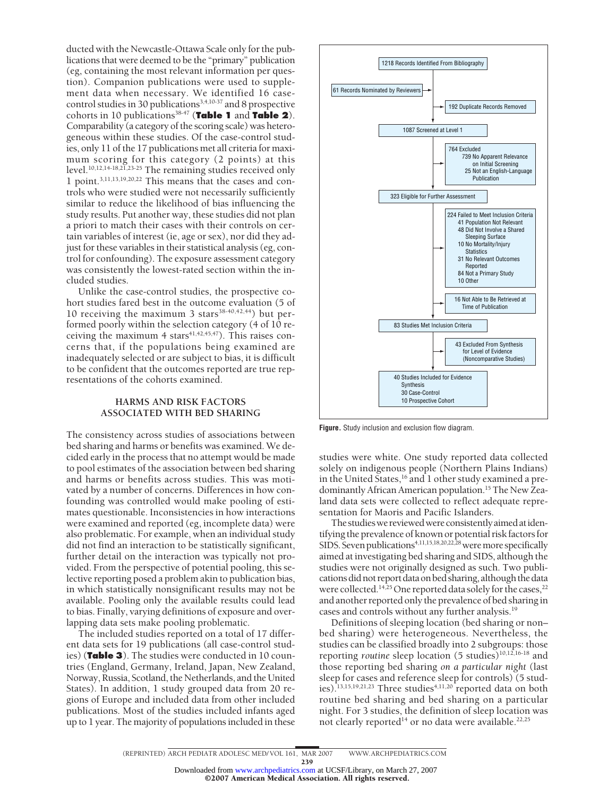ducted with the Newcastle-Ottawa Scale only for the publications that were deemed to be the "primary" publication (eg, containing the most relevant information per question). Companion publications were used to supplement data when necessary. We identified 16 casecontrol studies in 30 publications<sup>3,4,10-37</sup> and 8 prospective cohorts in 10 publications38-47 (**Table 1** and **Table 2**). Comparability (a category of the scoring scale) was heterogeneous within these studies. Of the case-control studies, only 11 of the 17 publications met all criteria for maximum scoring for this category (2 points) at this level.10,12,14-18,21,23-25 The remaining studies received only 1 point.3,11,13,19,20,22 This means that the cases and controls who were studied were not necessarily sufficiently similar to reduce the likelihood of bias influencing the study results. Put another way, these studies did not plan a priori to match their cases with their controls on certain variables of interest (ie, age or sex), nor did they adjust for these variables in their statistical analysis (eg, control for confounding). The exposure assessment category was consistently the lowest-rated section within the included studies.

Unlike the case-control studies, the prospective cohort studies fared best in the outcome evaluation (5 of 10 receiving the maximum 3 stars $38-40,42,44$ ) but performed poorly within the selection category (4 of 10 receiving the maximum 4 stars<sup> $41,42,45,47$ </sup>). This raises concerns that, if the populations being examined are inadequately selected or are subject to bias, it is difficult to be confident that the outcomes reported are true representations of the cohorts examined.

## **HARMS AND RISK FACTORS ASSOCIATED WITH BED SHARING**

The consistency across studies of associations between bed sharing and harms or benefits was examined. We decided early in the process that no attempt would be made to pool estimates of the association between bed sharing and harms or benefits across studies. This was motivated by a number of concerns. Differences in how confounding was controlled would make pooling of estimates questionable. Inconsistencies in how interactions were examined and reported (eg, incomplete data) were also problematic. For example, when an individual study did not find an interaction to be statistically significant, further detail on the interaction was typically not provided. From the perspective of potential pooling, this selective reporting posed a problem akin to publication bias, in which statistically nonsignificant results may not be available. Pooling only the available results could lead to bias. Finally, varying definitions of exposure and overlapping data sets make pooling problematic.

The included studies reported on a total of 17 different data sets for 19 publications (all case-control studies) (**Table 3**). The studies were conducted in 10 countries (England, Germany, Ireland, Japan, New Zealand, Norway, Russia, Scotland, the Netherlands, and the United States). In addition, 1 study grouped data from 20 regions of Europe and included data from other included publications. Most of the studies included infants aged up to 1 year. The majority of populations included in these



**Figure.** Study inclusion and exclusion flow diagram.

studies were white. One study reported data collected solely on indigenous people (Northern Plains Indians) in the United States,<sup>16</sup> and 1 other study examined a predominantly African American population.15 The New Zealand data sets were collected to reflect adequate representation for Maoris and Pacific Islanders.

The studies we reviewed were consistently aimed at identifying the prevalence of known or potential risk factors for  $SIDS.$  Seven publications<sup>4,11,15,18,20,22,28</sup> were more specifically aimed at investigating bed sharing and SIDS, although the studies were not originally designed as such. Two publications didnot report data on bed sharing, although the data were collected.<sup>14,25</sup> One reported data solely for the cases,<sup>22</sup> and another reported only the prevalence of bed sharingin cases and controls without any further analysis.<sup>19</sup>

Definitions of sleeping location (bed sharing or non– bed sharing) were heterogeneous. Nevertheless, the studies can be classified broadly into 2 subgroups: those reporting *routine* sleep location (5 studies)<sup>10,12,16-18</sup> and those reporting bed sharing *on a particular night* (last sleep for cases and reference sleep for controls) (5 studies).<sup>13,15,19,21,23</sup> Three studies<sup>4,11,20</sup> reported data on both routine bed sharing and bed sharing on a particular night. For 3 studies, the definition of sleep location was not clearly reported<sup>14</sup> or no data were available.<sup>22,25</sup>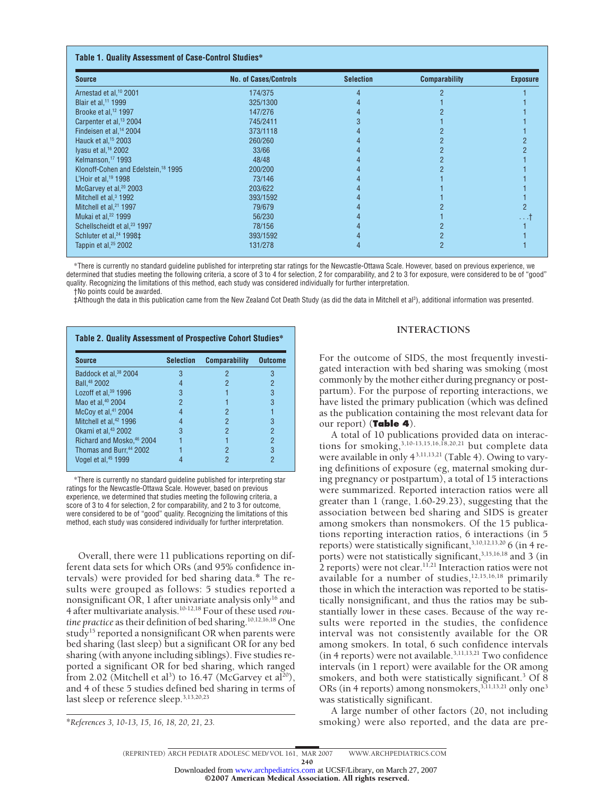#### **Table 1. Quality Assessment of Case-Control Studies\***

| <b>Source</b>                                   | <b>No. of Cases/Controls</b> | <b>Selection</b> | <b>Comparability</b> | <b>Exposure</b> |
|-------------------------------------------------|------------------------------|------------------|----------------------|-----------------|
| Arnestad et al, <sup>10</sup> 2001              | 174/375                      |                  | $\mathcal{P}$        |                 |
| Blair et al, <sup>11</sup> 1999                 | 325/1300                     |                  |                      |                 |
| Brooke et al, <sup>12</sup> 1997                | 147/276                      |                  |                      |                 |
| Carpenter et al, <sup>13</sup> 2004             | 745/2411                     |                  |                      |                 |
| Findeisen et al, <sup>14</sup> 2004             | 373/1118                     |                  |                      |                 |
| Hauck et al, <sup>15</sup> 2003                 | 260/260                      |                  |                      |                 |
| Iyasu et al, <sup>16</sup> 2002                 | 33/66                        |                  |                      |                 |
| Kelmanson, <sup>17</sup> 1993                   | 48/48                        |                  |                      |                 |
| Klonoff-Cohen and Edelstein, <sup>18</sup> 1995 | 200/200                      |                  |                      |                 |
| L'Hoir et al. <sup>19</sup> 1998                | 73/146                       |                  |                      |                 |
| McGarvey et al, <sup>20</sup> 2003              | 203/622                      |                  |                      |                 |
| Mitchell et al, $3$ 1992                        | 393/1592                     |                  |                      |                 |
| Mitchell et al, <sup>21</sup> 1997              | 79/679                       |                  |                      |                 |
| Mukai et al, <sup>22</sup> 1999                 | 56/230                       |                  |                      |                 |
| Schellscheidt et al, <sup>23</sup> 1997         | 78/156                       |                  |                      |                 |
| Schluter et al, $24$ 1998 $\ddagger$            | 393/1592                     |                  |                      |                 |
| Tappin et al, $25$ 2002                         | 131/278                      |                  |                      |                 |

\*There is currently no standard guideline published for interpreting star ratings for the Newcastle-Ottawa Scale. However, based on previous experience, we determined that studies meeting the following criteria, a score of 3 to 4 for selection, 2 for comparability, and 2 to 3 for exposure, were considered to be of "good" quality. Recognizing the limitations of this method, each study was considered individually for further interpretation.

†No points could be awarded.

‡Although the data in this publication came from the New Zealand Cot Death Study (as did the data in Mitchell et al3 ), additional information was presented.

| <b>Source</b>                         | <b>Selection</b> | <b>Comparability</b> | <b>Outcome</b> |
|---------------------------------------|------------------|----------------------|----------------|
| Baddock et al. <sup>38</sup> 2004     | 3                | 2                    | 3              |
| Ball. <sup>48</sup> 2002              |                  | 2                    | 2              |
| Lozoff et al. $39$ 1996               | 3                |                      | 3              |
| Mao et al. <sup>40</sup> 2004         | 2                |                      | 3              |
| McCoy et al, <sup>41</sup> 2004       |                  | 2                    |                |
| Mitchell et al. <sup>42</sup> 1996    |                  | 2                    | 3              |
| Okami et al. <sup>43</sup> 2002       | 3                | 2                    | 2              |
| Richard and Mosko. <sup>46</sup> 2004 |                  |                      | 2              |
| Thomas and Burr, <sup>44</sup> 2002   |                  | 2                    | 3              |
| Vogel et al. <sup>45</sup> 1999       |                  |                      | 2              |

\*There is currently no standard guideline published for interpreting star ratings for the Newcastle-Ottawa Scale. However, based on previous experience, we determined that studies meeting the following criteria, a score of 3 to 4 for selection, 2 for comparability, and 2 to 3 for outcome, were considered to be of "good" quality. Recognizing the limitations of this method, each study was considered individually for further interpretation.

Overall, there were 11 publications reporting on different data sets for which ORs (and 95% confidence intervals) were provided for bed sharing data.\* The results were grouped as follows: 5 studies reported a nonsignificant OR, 1 after univariate analysis only<sup>16</sup> and 4 after multivariate analysis.10-12,18 Four of these used *rou*tine practice as their definition of bed sharing.<sup>10,12,16,18</sup> One study<sup>15</sup> reported a nonsignificant OR when parents were bed sharing (last sleep) but a significant OR for any bed sharing (with anyone including siblings). Five studies reported a significant OR for bed sharing, which ranged from 2.02 (Mitchell et al<sup>3</sup>) to 16.47 (McGarvey et al<sup>20</sup>), and 4 of these 5 studies defined bed sharing in terms of last sleep or reference sleep.3,13,20,23

## **INTERACTIONS**

For the outcome of SIDS, the most frequently investigated interaction with bed sharing was smoking (most commonly by the mother either during pregnancy or postpartum). For the purpose of reporting interactions, we have listed the primary publication (which was defined as the publication containing the most relevant data for our report) (**Table 4**).

A total of 10 publications provided data on interactions for smoking,3,10-13,15,16,18,20,21 but complete data were available in only  $4^{3,11,13,21}$  (Table 4). Owing to varying definitions of exposure (eg, maternal smoking during pregnancy or postpartum), a total of 15 interactions were summarized. Reported interaction ratios were all greater than 1 (range, 1.60-29.23), suggesting that the association between bed sharing and SIDS is greater among smokers than nonsmokers. Of the 15 publications reporting interaction ratios, 6 interactions (in 5 reports) were statistically significant,<sup>3,10,12,13,20</sup> 6 (in 4 reports) were not statistically significant, $3,15,16,18$  and 3 (in  $\frac{1}{2}$  reports) were not clear.<sup>11,21</sup> Interaction ratios were not available for a number of studies, $12,15,16,18$  primarily those in which the interaction was reported to be statistically nonsignificant, and thus the ratios may be substantially lower in these cases. Because of the way results were reported in the studies, the confidence interval was not consistently available for the OR among smokers. In total, 6 such confidence intervals (in 4 reports) were not available.3,11,13,21 Two confidence intervals (in 1 report) were available for the OR among smokers, and both were statistically significant.<sup>3</sup> Of 8 ORs (in 4 reports) among nonsmokers,<sup>3,11,13,21</sup> only one<sup>3</sup> was statistically significant.

A large number of other factors (20, not including \**References 3, 10-13, 15, 16, 18, 20, 21, 23.* smoking) were also reported, and the data are pre-

©2007 American Medical Association. All rights reserved. Downloaded from [www.archpediatrics.com](http://www.archpediatrics.com) at UCSF/Library, on March 27, 2007

<sup>240</sup>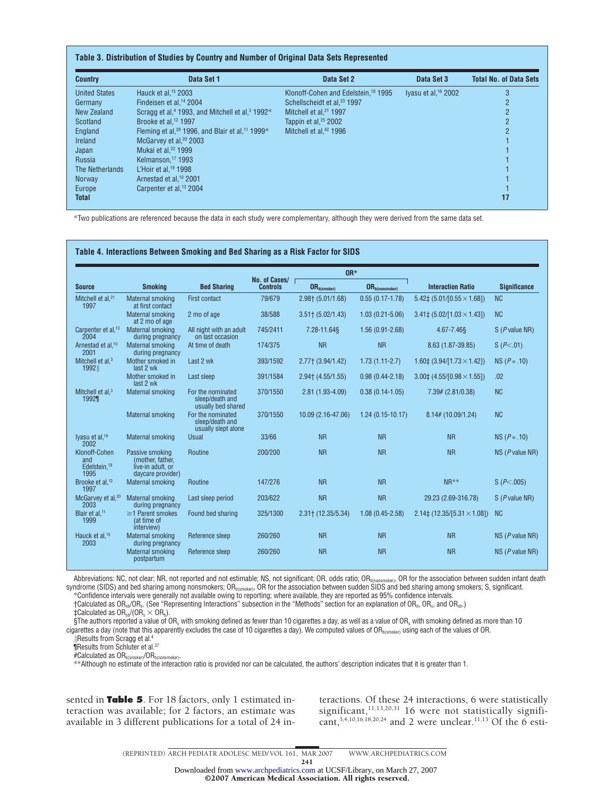#### **Table 3. Distribution of Studies by Country and Number of Original Data Sets Represented**

| <b>Country</b>       | Data Set 1                                                                          | Data Set 2                                      | Data Set 3             | <b>Total No. of Data Sets</b> |
|----------------------|-------------------------------------------------------------------------------------|-------------------------------------------------|------------------------|-------------------------------|
| <b>United States</b> | Hauck et al. <sup>15</sup> 2003                                                     | Klonoff-Cohen and Edelstein, <sup>18</sup> 1995 | Iyasu et al, $16$ 2002 | 3                             |
| Germany              | Findeisen et al. <sup>14</sup> 2004                                                 | Schellscheidt et al. <sup>23</sup> 1997         |                        | 2                             |
| New Zealand          | Scragg et al, <sup>4</sup> 1993, and Mitchell et al, <sup>3</sup> 1992 <sup>*</sup> | Mitchell et al. <sup>21</sup> 1997              |                        |                               |
| Scotland             | Brooke et al, <sup>12</sup> 1997                                                    | Tappin et al, $25$ 2002                         |                        | C.                            |
| England              | Fleming et al. <sup>28</sup> 1996, and Blair et al. <sup>11</sup> 1999 <sup>*</sup> | Mitchell et al. <sup>42</sup> 1996              |                        | C.                            |
| <b>Ireland</b>       | McGarvey et al. <sup>20</sup> 2003                                                  |                                                 |                        |                               |
| Japan                | Mukai et al. <sup>22</sup> 1999                                                     |                                                 |                        |                               |
| <b>Russia</b>        | Kelmanson. <sup>17</sup> 1993                                                       |                                                 |                        |                               |
| The Netherlands      | L'Hoir et al. <sup>19</sup> 1998                                                    |                                                 |                        |                               |
| <b>Norway</b>        | Arnestad et al. <sup>10</sup> 2001                                                  |                                                 |                        |                               |
| Europe               | Carpenter et al, <sup>13</sup> 2004                                                 |                                                 |                        |                               |
| <b>Total</b>         |                                                                                     |                                                 |                        | 17                            |

\*Two publications are referenced because the data in each study were complementary, although they were derived from the same data set.

## **Table 4. Interactions Between Smoking and Bed Sharing as a Risk Factor for SIDS**

|                                                          |                                                                               |                                                             |                                  | $0R*$                       |                     |                                         |                     |
|----------------------------------------------------------|-------------------------------------------------------------------------------|-------------------------------------------------------------|----------------------------------|-----------------------------|---------------------|-----------------------------------------|---------------------|
| <b>Source</b>                                            | <b>Smoking</b>                                                                | <b>Bed Sharing</b>                                          | No. of Cases/<br><b>Controls</b> | $OR_{b(smoker)}$            | ORb(nonsmoker)      | <b>Interaction Ratio</b>                | <b>Significance</b> |
| Mitchell et al. <sup>21</sup><br>1997                    | Maternal smoking<br>at first contact                                          | <b>First contact</b>                                        | 79/679                           | 2.98† (5.01/1.68)           | $0.55(0.17 - 1.78)$ | $5.42\pm(5.01/[0.55\times1.68])$        | <b>NC</b>           |
|                                                          | Maternal smoking<br>at 2 mo of age                                            | 2 mo of age                                                 | 38/588                           | $3.51 \pm (5.02/1.43)$      | 1.03 (0.21-5.06)    | $3.41\pm(5.02/[1.03\times1.43])$        | <b>NC</b>           |
| Carpenter et al, <sup>13</sup><br>2004                   | Maternal smoking<br>during pregnancy                                          | All night with an adult<br>on last occasion                 | 745/2411                         | 7.28-11.64§                 | $1.56(0.91 - 2.68)$ | 4.67-7.46§                              | S (P value NR)      |
| Arnestad et al, <sup>10</sup><br>2001                    | Maternal smoking<br>during pregnancy                                          | At time of death                                            | 174/375                          | <b>NR</b>                   | <b>NR</b>           | 8.63 (1.87-39.85)                       | S(P<.01)            |
| Mitchell et al. <sup>3</sup><br>1992                     | Mother smoked in<br>last 2 wk                                                 | Last 2 wk                                                   | 393/1592                         | 2.77† (3.94/1.42)           | $1.73(1.11-2.7)$    | 1.60 $\neq$ (3.94/[1.73 $\times$ 1.42]) | $NS (P = .10)$      |
|                                                          | Mother smoked in<br>last 2 wk                                                 | Last sleep                                                  | 391/1584                         | $2.94 \uparrow (4.55/1.55)$ | $0.98(0.44 - 2.18)$ | $3.00\pm(4.55/[0.98\times1.55])$        | .02                 |
| Mitchell et al. <sup>3</sup><br>1992¶                    | Maternal smoking                                                              | For the nominated<br>sleep/death and<br>usually bed shared  | 370/1550                         | $2.81(1.93 - 4.09)$         | $0.38(0.14-1.05)$   | 7.39# (2.81/0.38)                       | <b>NC</b>           |
|                                                          | Maternal smoking                                                              | For the nominated<br>sleep/death and<br>usually slept alone | 370/1550                         | 10.09 (2.16-47.06)          | $1.24(0.15-10.17)$  | 8.14# (10.09/1.24)                      | <b>NC</b>           |
| Iyasu et al, <sup>16</sup><br>2002                       | Maternal smoking                                                              | Usual                                                       | 33/66                            | <b>NR</b>                   | <b>NR</b>           | <b>NR</b>                               | $NS (P = .10)$      |
| Klonoff-Cohen<br>and<br>Edelstein. <sup>18</sup><br>1995 | Passive smoking<br>(mother, father,<br>live-in adult, or<br>daycare provider) | Routine                                                     | 200/200                          | <b>NR</b>                   | <b>NR</b>           | <b>NR</b>                               | NS (P value NR)     |
| Brooke et al, <sup>12</sup><br>1997                      | Maternal smoking                                                              | Routine                                                     | 147/276                          | <b>NR</b>                   | <b>NR</b>           | $NR**$                                  | S(P<.005)           |
| McGarvey et al, <sup>20</sup><br>2003                    | Maternal smoking<br>during pregnancy                                          | Last sleep period                                           | 203/622                          | <b>NR</b>                   | <b>NR</b>           | 29.23 (2.69-316.78)                     | S (P value NR)      |
| Blair et al. <sup>11</sup><br>1999                       | $\geq$ 1 Parent smokes<br>(at time of<br>interview)                           | Found bed sharing                                           | 325/1300                         | 2.31† (12.35/5.34)          | $1.08(0.45 - 2.58)$ | $2.14\pm(12.35/[5.31\times1.08])$       | <b>NC</b>           |
| Hauck et al. <sup>15</sup><br>2003                       | Maternal smoking<br>during pregnancy                                          | Reference sleep                                             | 260/260                          | <b>NR</b>                   | <b>NR</b>           | <b>NR</b>                               | NS (P value NR)     |
|                                                          | Maternal smoking<br>postpartum                                                | Reference sleep                                             | 260/260                          | <b>NR</b>                   | <b>NR</b>           | <b>NR</b>                               | NS (P value NR)     |

Abbreviations: NC, not clear; NR, not reported and not estimable; NS, not significant; OR, odds ratio; OR<sub>b(nonsmoker</sub>), OR for the association between sudden infant death syndrome (SIDS) and bed sharing among nonsmokers; OR<sub>b(smoker</sub>), OR for the association between sudden SIDS and bed sharing among smokers; S, significant.

\*Confidence intervals were generally not available owing to reporting; where available, they are reported as 95% confidence intervals.

 $\uparrow$ Calculated as OR<sub>sb</sub>/OR<sub>s</sub>. (See "Representing Interactions" subsection in the "Methods" section for an explanation of OR<sub>b</sub>, OR<sub>s</sub>, and OR<sub>sb</sub>.)

 $\text{\tt \ddagger}$ Calculated as  $\text{\tt OR}_{\text{\tt sb}}/(\text{\tt OR}_{\text{\tt s}}\times \text{\tt OR}_{\text{\tt b}})$ .

§The authors reported a value of ORs with smoking defined as fewer than 10 cigarettes a day, as well as a value of ORs with smoking defined as more than 10 cigarettes a day (note that this apparently excludes the case of 10 cigarettes a day). We computed values of OR $_{\text{b}(\text{smooth})}$  using each of the values of OR.

Results from Scragg et al.<sup>4</sup>

¶Results from Schluter et al.37

#Calculated as  $OR_{b(smoker)} / OR_{b(sm)}$ 

\*\*Although no estimate of the interaction ratio is provided nor can be calculated, the authors' description indicates that it is greater than 1.

sented in **Table 5**. For 18 factors, only 1 estimated interaction was available; for 2 factors, an estimate was available in 3 different publications for a total of 24 in-

teractions. Of these 24 interactions, 6 were statistically significant,<sup>11,13,20,31</sup> 16 were not statistically significant,  $3,4,10,16,18,20,24$  and 2 were unclear.  $11,13$  Of the 6 esti-

Downloaded from [www.archpediatrics.com](http://www.archpediatrics.com) at UCSF/Library, on March 27, 2007

©2007 American Medical Association. All rights reserved.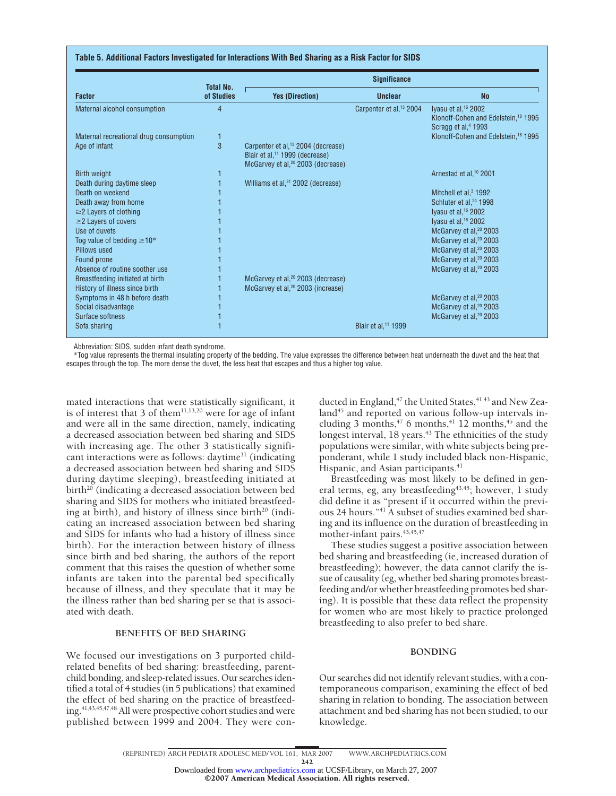#### **Table 5. Additional Factors Investigated for Interactions With Bed Sharing as a Risk Factor for SIDS**

|                                        | <b>Total No.</b> | <b>Significance</b>                                                                                                                           |                                     |                                                                                                              |  |
|----------------------------------------|------------------|-----------------------------------------------------------------------------------------------------------------------------------------------|-------------------------------------|--------------------------------------------------------------------------------------------------------------|--|
| <b>Factor</b>                          | of Studies       | <b>Yes (Direction)</b>                                                                                                                        | <b>Unclear</b>                      | <b>No</b>                                                                                                    |  |
| Maternal alcohol consumption           | $\overline{4}$   |                                                                                                                                               | Carpenter et al, <sup>13</sup> 2004 | Iyasu et al, $16$ 2002<br>Klonoff-Cohen and Edelstein, <sup>18</sup> 1995<br>Scragg et al, <sup>4</sup> 1993 |  |
| Maternal recreational drug consumption | 1                |                                                                                                                                               |                                     | Klonoff-Cohen and Edelstein, <sup>18</sup> 1995                                                              |  |
| Age of infant                          | 3                | Carpenter et al, <sup>13</sup> 2004 (decrease)<br>Blair et al, <sup>11</sup> 1999 (decrease)<br>McGarvey et al, <sup>20</sup> 2003 (decrease) |                                     |                                                                                                              |  |
| <b>Birth weight</b>                    |                  |                                                                                                                                               |                                     | Arnestad et al, <sup>10</sup> 2001                                                                           |  |
| Death during daytime sleep             |                  | Williams et al, <sup>31</sup> 2002 (decrease)                                                                                                 |                                     |                                                                                                              |  |
| Death on weekend                       |                  |                                                                                                                                               |                                     | Mitchell et al. <sup>3</sup> 1992                                                                            |  |
| Death away from home                   |                  |                                                                                                                                               |                                     | Schluter et al. <sup>24</sup> 1998                                                                           |  |
| $\geq$ 2 Layers of clothing            |                  |                                                                                                                                               |                                     | Iyasu et al, <sup>16</sup> 2002                                                                              |  |
| $\geq$ 2 Layers of covers              |                  |                                                                                                                                               |                                     | Iyasu et al, <sup>16</sup> 2002                                                                              |  |
| Use of duvets                          |                  |                                                                                                                                               |                                     | McGarvey et al, <sup>20</sup> 2003                                                                           |  |
| Tog value of bedding $\geq 10^*$       |                  |                                                                                                                                               |                                     | McGarvey et al, <sup>20</sup> 2003                                                                           |  |
| Pillows used                           |                  |                                                                                                                                               |                                     | McGarvey et al, <sup>20</sup> 2003                                                                           |  |
| Found prone                            |                  |                                                                                                                                               |                                     | McGarvey et al, <sup>20</sup> 2003                                                                           |  |
| Absence of routine soother use         |                  |                                                                                                                                               |                                     | McGarvey et al, <sup>20</sup> 2003                                                                           |  |
| Breastfeeding initiated at birth       |                  | McGarvey et al, <sup>20</sup> 2003 (decrease)                                                                                                 |                                     |                                                                                                              |  |
| History of illness since birth         |                  | McGarvey et al, <sup>20</sup> 2003 (increase)                                                                                                 |                                     |                                                                                                              |  |
| Symptoms in 48 h before death          |                  |                                                                                                                                               |                                     | McGarvey et al, <sup>20</sup> 2003                                                                           |  |
| Social disadvantage                    |                  |                                                                                                                                               |                                     | McGarvey et al, <sup>20</sup> 2003                                                                           |  |
| Surface softness                       |                  |                                                                                                                                               |                                     | McGarvey et al, <sup>20</sup> 2003                                                                           |  |
| Sofa sharing                           |                  |                                                                                                                                               | Blair et al, <sup>11</sup> 1999     |                                                                                                              |  |

Abbreviation: SIDS, sudden infant death syndrome.

\*Tog value represents the thermal insulating property of the bedding. The value expresses the difference between heat underneath the duvet and the heat that escapes through the top. The more dense the duvet, the less heat that escapes and thus a higher tog value.

mated interactions that were statistically significant, it is of interest that 3 of the $m$ <sup>11,13,20</sup> were for age of infant and were all in the same direction, namely, indicating a decreased association between bed sharing and SIDS with increasing age. The other 3 statistically significant interactions were as follows: daytime<sup>31</sup> (indicating a decreased association between bed sharing and SIDS during daytime sleeping), breastfeeding initiated at birth<sup>20</sup> (indicating a decreased association between bed sharing and SIDS for mothers who initiated breastfeeding at birth), and history of illness since birth $20$  (indicating an increased association between bed sharing and SIDS for infants who had a history of illness since birth). For the interaction between history of illness since birth and bed sharing, the authors of the report comment that this raises the question of whether some infants are taken into the parental bed specifically because of illness, and they speculate that it may be the illness rather than bed sharing per se that is associated with death.

#### **BENEFITS OF BED SHARING**

We focused our investigations on 3 purported childrelated benefits of bed sharing: breastfeeding, parentchild bonding, and sleep-related issues. Our searches identified a total of 4 studies (in 5 publications) that examined the effect of bed sharing on the practice of breastfeeding.41,43,45,47,48 All were prospective cohort studies and were published between 1999 and 2004. They were conducted in England, $47$  the United States, $41,43$  and New Zealand<sup>45</sup> and reported on various follow-up intervals including 3 months,<sup>47</sup> 6 months,<sup>41</sup> 12 months,<sup>45</sup> and the longest interval, 18 years.<sup>43</sup> The ethnicities of the study populations were similar, with white subjects being preponderant, while 1 study included black non-Hispanic, Hispanic, and Asian participants.<sup>41</sup>

Breastfeeding was most likely to be defined in general terms, eg, any breastfeeding<sup>43,45</sup>; however, 1 study did define it as "present if it occurred within the previous 24 hours."41 A subset of studies examined bed sharing and its influence on the duration of breastfeeding in mother-infant pairs.<sup>43,45,47</sup>

These studies suggest a positive association between bed sharing and breastfeeding (ie, increased duration of breastfeeding); however, the data cannot clarify the issue of causality (eg, whether bed sharing promotes breastfeeding and/or whether breastfeeding promotes bed sharing). It is possible that these data reflect the propensity for women who are most likely to practice prolonged breastfeeding to also prefer to bed share.

#### **BONDING**

Our searches did not identify relevant studies, with a contemporaneous comparison, examining the effect of bed sharing in relation to bonding. The association between attachment and bed sharing has not been studied, to our knowledge.

©2007 American Medical Association. All rights reserved.

<sup>(</sup>REPRINTED) ARCH PEDIATR ADOLESC MED/ VOL 161, MAR 2007 WWW.ARCHPEDIATRICS.COM 242 Downloaded from [www.archpediatrics.com](http://www.archpediatrics.com) at UCSF/Library, on March 27, 2007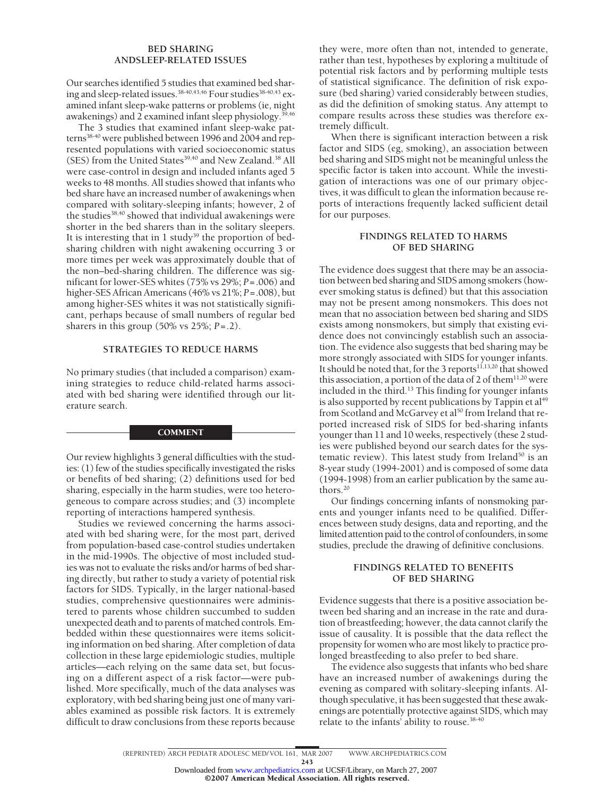## **BED SHARING ANDSLEEP-RELATED ISSUES**

Our searches identified 5 studies that examined bed sharing and sleep-related issues.<sup>38-40,43,46</sup> Four studies<sup>38-40,43</sup> examined infant sleep-wake patterns or problems (ie, night awakenings) and 2 examined infant sleep physiology.<sup>39,46</sup>

The 3 studies that examined infant sleep-wake patterns<sup>38-40</sup> were published between 1996 and 2004 and represented populations with varied socioeconomic status (SES) from the United States<sup>39,40</sup> and New Zealand.<sup>38</sup> All were case-control in design and included infants aged 5 weeks to 48 months. All studies showed that infants who bed share have an increased number of awakenings when compared with solitary-sleeping infants; however, 2 of the studies<sup>38,40</sup> showed that individual awakenings were shorter in the bed sharers than in the solitary sleepers. It is interesting that in 1 study<sup>39</sup> the proportion of bedsharing children with night awakening occurring 3 or more times per week was approximately double that of the non–bed-sharing children. The difference was significant for lower-SES whites (75% vs 29%; *P*=.006) and higher-SES African Americans (46% vs 21%; *P*=.008), but among higher-SES whites it was not statistically significant, perhaps because of small numbers of regular bed sharers in this group (50% vs 25%; *P*=.2).

## **STRATEGIES TO REDUCE HARMS**

No primary studies (that included a comparison) examining strategies to reduce child-related harms associated with bed sharing were identified through our literature search.

## **COMMENT**

Our review highlights 3 general difficulties with the studies: (1) few of the studies specifically investigated the risks or benefits of bed sharing; (2) definitions used for bed sharing, especially in the harm studies, were too heterogeneous to compare across studies; and (3) incomplete reporting of interactions hampered synthesis.

Studies we reviewed concerning the harms associated with bed sharing were, for the most part, derived from population-based case-control studies undertaken in the mid-1990s. The objective of most included studies was not to evaluate the risks and/or harms of bed sharing directly, but rather to study a variety of potential risk factors for SIDS. Typically, in the larger national-based studies, comprehensive questionnaires were administered to parents whose children succumbed to sudden unexpected death and to parents of matched controls. Embedded within these questionnaires were items soliciting information on bed sharing. After completion of data collection in these large epidemiologic studies, multiple articles—each relying on the same data set, but focusing on a different aspect of a risk factor—were published. More specifically, much of the data analyses was exploratory, with bed sharing being just one of many variables examined as possible risk factors. It is extremely difficult to draw conclusions from these reports because

they were, more often than not, intended to generate, rather than test, hypotheses by exploring a multitude of potential risk factors and by performing multiple tests of statistical significance. The definition of risk exposure (bed sharing) varied considerably between studies, as did the definition of smoking status. Any attempt to compare results across these studies was therefore extremely difficult.

When there is significant interaction between a risk factor and SIDS (eg, smoking), an association between bed sharing and SIDS might not be meaningful unless the specific factor is taken into account. While the investigation of interactions was one of our primary objectives, it was difficult to glean the information because reports of interactions frequently lacked sufficient detail for our purposes.

## **FINDINGS RELATED TO HARMS OF BED SHARING**

The evidence does suggest that there may be an association between bed sharing and SIDS among smokers (however smoking status is defined) but that this association may not be present among nonsmokers. This does not mean that no association between bed sharing and SIDS exists among nonsmokers, but simply that existing evidence does not convincingly establish such an association. The evidence also suggests that bed sharing may be more strongly associated with SIDS for younger infants. It should be noted that, for the 3 reports<sup>11,13,20</sup> that showed this association, a portion of the data of 2 of them $^{11,20}$  were included in the third.<sup>13</sup> This finding for younger infants is also supported by recent publications by Tappin et  $al^{49}$ from Scotland and McGarvey et al<sup>50</sup> from Ireland that reported increased risk of SIDS for bed-sharing infants younger than 11 and 10 weeks, respectively (these 2 studies were published beyond our search dates for the systematic review). This latest study from Ireland<sup>50</sup> is an 8-year study (1994-2001) and is composed of some data (1994-1998) from an earlier publication by the same authors.20

Our findings concerning infants of nonsmoking parents and younger infants need to be qualified. Differences between study designs, data and reporting, and the limited attention paid to the control of confounders, in some studies, preclude the drawing of definitive conclusions.

## **FINDINGS RELATED TO BENEFITS OF BED SHARING**

Evidence suggests that there is a positive association between bed sharing and an increase in the rate and duration of breastfeeding; however, the data cannot clarify the issue of causality. It is possible that the data reflect the propensity for women who are most likely to practice prolonged breastfeeding to also prefer to bed share.

The evidence also suggests that infants who bed share have an increased number of awakenings during the evening as compared with solitary-sleeping infants. Although speculative, it has been suggested that these awakenings are potentially protective against SIDS, which may relate to the infants' ability to rouse.<sup>38-40</sup>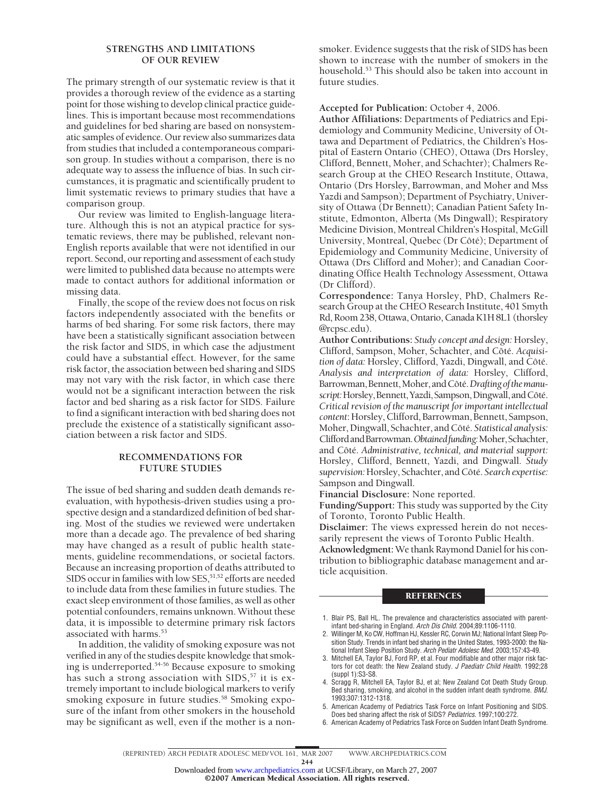## **STRENGTHS AND LIMITATIONS OF OUR REVIEW**

The primary strength of our systematic review is that it provides a thorough review of the evidence as a starting point for those wishing to develop clinical practice guidelines. This is important because most recommendations and guidelines for bed sharing are based on nonsystematic samples of evidence. Our review also summarizes data from studies that included a contemporaneous comparison group. In studies without a comparison, there is no adequate way to assess the influence of bias. In such circumstances, it is pragmatic and scientifically prudent to limit systematic reviews to primary studies that have a comparison group.

Our review was limited to English-language literature. Although this is not an atypical practice for systematic reviews, there may be published, relevant non-English reports available that were not identified in our report. Second, our reporting and assessment of each study were limited to published data because no attempts were made to contact authors for additional information or missing data.

Finally, the scope of the review does not focus on risk factors independently associated with the benefits or harms of bed sharing. For some risk factors, there may have been a statistically significant association between the risk factor and SIDS, in which case the adjustment could have a substantial effect. However, for the same risk factor, the association between bed sharing and SIDS may not vary with the risk factor, in which case there would not be a significant interaction between the risk factor and bed sharing as a risk factor for SIDS. Failure to find a significant interaction with bed sharing does not preclude the existence of a statistically significant association between a risk factor and SIDS.

## **RECOMMENDATIONS FOR FUTURE STUDIES**

The issue of bed sharing and sudden death demands reevaluation, with hypothesis-driven studies using a prospective design and a standardized definition of bed sharing. Most of the studies we reviewed were undertaken more than a decade ago. The prevalence of bed sharing may have changed as a result of public health statements, guideline recommendations, or societal factors. Because an increasing proportion of deaths attributed to SIDS occur in families with low SES,<sup>51,52</sup> efforts are needed to include data from these families in future studies. The exact sleep environment of those families, as well as other potential confounders, remains unknown. Without these data, it is impossible to determine primary risk factors associated with harms.<sup>53</sup>

In addition, the validity of smoking exposure was not verified in any of the studies despite knowledge that smoking is underreported.<sup>54-56</sup> Because exposure to smoking has such a strong association with SIDS, $57$  it is extremely important to include biological markers to verify smoking exposure in future studies.<sup>58</sup> Smoking exposure of the infant from other smokers in the household may be significant as well, even if the mother is a nonsmoker. Evidence suggests that the risk of SIDS has been shown to increase with the number of smokers in the household.53 This should also be taken into account in future studies.

**Accepted for Publication:** October 4, 2006.

**Author Affiliations:** Departments of Pediatrics and Epidemiology and Community Medicine, University of Ottawa and Department of Pediatrics, the Children's Hospital of Eastern Ontario (CHEO), Ottawa (Drs Horsley, Clifford, Bennett, Moher, and Schachter); Chalmers Research Group at the CHEO Research Institute, Ottawa, Ontario (Drs Horsley, Barrowman, and Moher and Mss Yazdi and Sampson); Department of Psychiatry, University of Ottawa (Dr Bennett); Canadian Patient Safety Institute, Edmonton, Alberta (Ms Dingwall); Respiratory Medicine Division, Montreal Children's Hospital, McGill University, Montreal, Quebec (Dr Côté); Department of Epidemiology and Community Medicine, University of Ottawa (Drs Clifford and Moher); and Canadian Coordinating Office Health Technology Assessment, Ottawa (Dr Clifford).

**Correspondence:** Tanya Horsley, PhD, Chalmers Research Group at the CHEO Research Institute, 401 Smyth Rd, Room 238, Ottawa, Ontario, Canada K1H 8L1 (thorsley @rcpsc.edu).

**Author Contributions:** *Study concept and design:* Horsley, Clifford, Sampson, Moher, Schachter, and Côté. *Acquisi*tion of data: Horsley, Clifford, Yazdi, Dingwall, and Côté. *Analysis and interpretation of data:* Horsley, Clifford, Barrowman, Bennett, Moher, and Côté. Drafting of the manu*script:* Horsley, Bennett, Yazdi, Sampson, Dingwall, and Côté. *Critical revision of the manuscript for important intellectual content*: Horsley, Clifford, Barrowman, Bennett, Sampson, Moher, Dingwall, Schachter, and Côté. *Statistical analysis:* CliffordandBarrowman.*Obtainedfunding:*Moher,Schachter, and Côté. *Administrative*, technical, and material support: Horsley, Clifford, Bennett, Yazdi, and Dingwall. *Study* supervision: Horsley, Schachter, and Côté. Search expertise: Sampson and Dingwall.

**Financial Disclosure:** None reported.

**Funding/Support:** This study was supported by the City of Toronto, Toronto Public Health.

**Disclaimer:** The views expressed herein do not necessarily represent the views of Toronto Public Health.

**Acknowledgment:**We thank Raymond Daniel for his contribution to bibliographic database management and article acquisition.

#### **REFERENCES**

- 1. Blair PS, Ball HL. The prevalence and characteristics associated with parentinfant bed-sharing in England. *Arch Dis Child*. 2004;89:1106-1110.
- 2. Willinger M, Ko CW, Hoffman HJ, Kessler RC, Corwin MJ; National Infant Sleep Position Study. Trends in infant bed sharing in the United States, 1993-2000: the National Infant Sleep Position Study. *Arch Pediatr Adolesc Med*. 2003;157:43-49.
- 3. Mitchell EA, Taylor BJ, Ford RP, et al. Four modifiable and other major risk fac-tors for cot death: the New Zealand study. *J Paediatr Child Health*. 1992;28 (suppl 1):S3-S8.
- 4. Scragg R, Mitchell EA, Taylor BJ, et al; New Zealand Cot Death Study Group. Bed sharing, smoking, and alcohol in the sudden infant death syndrome. *BMJ*. 1993;307:1312-1318.
- 5. American Academy of Pediatrics Task Force on Infant Positioning and SIDS. Does bed sharing affect the risk of SIDS? *Pediatrics*. 1997;100:272.
- 6. American Academy of Pediatrics Task Force on Sudden Infant Death Syndrome.